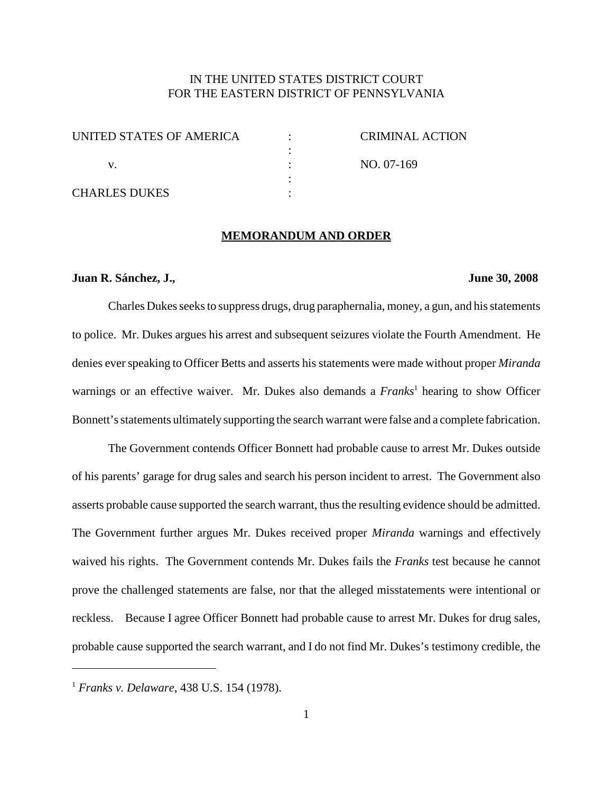### IN THE UNITED STATES DISTRICT COURT FOR THE EASTERN DISTRICT OF PENNSYLVANIA

| UNITED STATES OF AMERICA | CRIMINAL ACTION |
|--------------------------|-----------------|
|                          |                 |
|                          | NO. 07-169      |
|                          |                 |
| <b>CHARLES DUKES</b>     |                 |

#### **MEMORANDUM AND ORDER**

#### **Juan R. Sánchez, J., June 30, 2008**

Charles Dukes seeks to suppress drugs, drug paraphernalia, money, a gun, and his statements to police. Mr. Dukes argues his arrest and subsequent seizures violate the Fourth Amendment. He denies ever speaking to Officer Betts and asserts his statements were made without proper *Miranda* warnings or an effective waiver. Mr. Dukes also demands a *Franks* <sup>1</sup> hearing to show Officer Bonnett's statements ultimately supporting the search warrant were false and a complete fabrication.

The Government contends Officer Bonnett had probable cause to arrest Mr. Dukes outside of his parents' garage for drug sales and search his person incident to arrest. The Government also asserts probable cause supported the search warrant, thus the resulting evidence should be admitted. The Government further argues Mr. Dukes received proper *Miranda* warnings and effectively waived his rights. The Government contends Mr. Dukes fails the *Franks* test because he cannot prove the challenged statements are false, nor that the alleged misstatements were intentional or reckless. Because I agree Officer Bonnett had probable cause to arrest Mr. Dukes for drug sales, probable cause supported the search warrant, and I do not find Mr. Dukes's testimony credible, the

<sup>1</sup> *Franks v. Delaware*, 438 U.S. 154 (1978).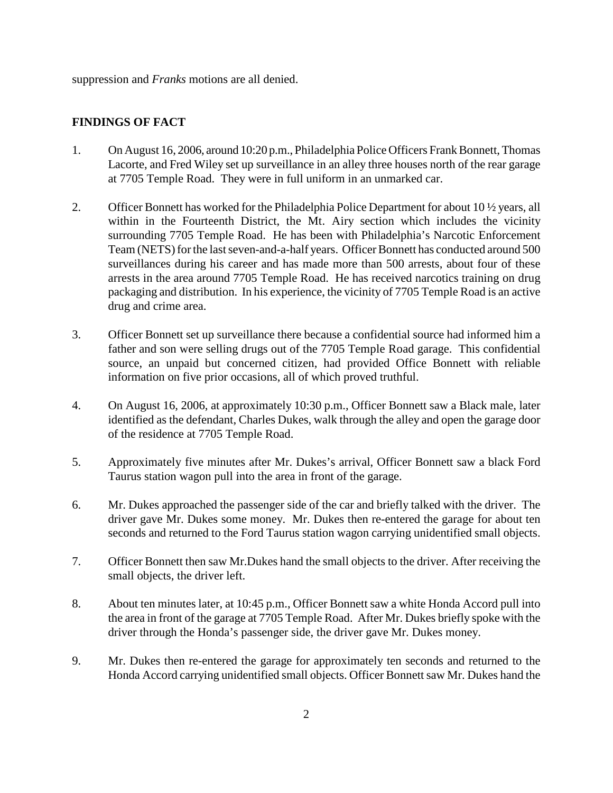suppression and *Franks* motions are all denied.

## **FINDINGS OF FACT**

- 1. On August 16, 2006, around 10:20 p.m., Philadelphia Police Officers Frank Bonnett, Thomas Lacorte, and Fred Wiley set up surveillance in an alley three houses north of the rear garage at 7705 Temple Road. They were in full uniform in an unmarked car.
- 2. Officer Bonnett has worked for the Philadelphia Police Department for about 10  $\frac{1}{2}$  years, all within in the Fourteenth District, the Mt. Airy section which includes the vicinity surrounding 7705 Temple Road. He has been with Philadelphia's Narcotic Enforcement Team (NETS) for the last seven-and-a-half years. Officer Bonnett has conducted around 500 surveillances during his career and has made more than 500 arrests, about four of these arrests in the area around 7705 Temple Road. He has received narcotics training on drug packaging and distribution. In his experience, the vicinity of 7705 Temple Road is an active drug and crime area.
- 3. Officer Bonnett set up surveillance there because a confidential source had informed him a father and son were selling drugs out of the 7705 Temple Road garage. This confidential source, an unpaid but concerned citizen, had provided Office Bonnett with reliable information on five prior occasions, all of which proved truthful.
- 4. On August 16, 2006, at approximately 10:30 p.m., Officer Bonnett saw a Black male, later identified as the defendant, Charles Dukes, walk through the alley and open the garage door of the residence at 7705 Temple Road.
- 5. Approximately five minutes after Mr. Dukes's arrival, Officer Bonnett saw a black Ford Taurus station wagon pull into the area in front of the garage.
- 6. Mr. Dukes approached the passenger side of the car and briefly talked with the driver. The driver gave Mr. Dukes some money. Mr. Dukes then re-entered the garage for about ten seconds and returned to the Ford Taurus station wagon carrying unidentified small objects.
- 7. Officer Bonnett then saw Mr.Dukes hand the small objects to the driver. After receiving the small objects, the driver left.
- 8. About ten minutes later, at 10:45 p.m., Officer Bonnett saw a white Honda Accord pull into the area in front of the garage at 7705 Temple Road. After Mr. Dukes briefly spoke with the driver through the Honda's passenger side, the driver gave Mr. Dukes money.
- 9. Mr. Dukes then re-entered the garage for approximately ten seconds and returned to the Honda Accord carrying unidentified small objects. Officer Bonnett saw Mr. Dukes hand the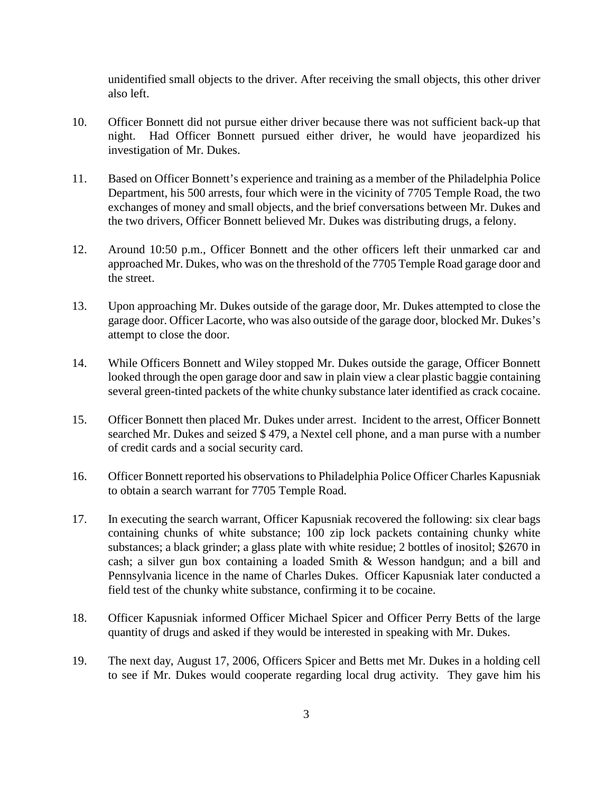unidentified small objects to the driver. After receiving the small objects, this other driver also left.

- 10. Officer Bonnett did not pursue either driver because there was not sufficient back-up that night. Had Officer Bonnett pursued either driver, he would have jeopardized his investigation of Mr. Dukes.
- 11. Based on Officer Bonnett's experience and training as a member of the Philadelphia Police Department, his 500 arrests, four which were in the vicinity of 7705 Temple Road, the two exchanges of money and small objects, and the brief conversations between Mr. Dukes and the two drivers, Officer Bonnett believed Mr. Dukes was distributing drugs, a felony.
- 12. Around 10:50 p.m., Officer Bonnett and the other officers left their unmarked car and approached Mr. Dukes, who was on the threshold of the 7705 Temple Road garage door and the street.
- 13. Upon approaching Mr. Dukes outside of the garage door, Mr. Dukes attempted to close the garage door. Officer Lacorte, who was also outside of the garage door, blocked Mr. Dukes's attempt to close the door.
- 14. While Officers Bonnett and Wiley stopped Mr. Dukes outside the garage, Officer Bonnett looked through the open garage door and saw in plain view a clear plastic baggie containing several green-tinted packets of the white chunky substance later identified as crack cocaine.
- 15. Officer Bonnett then placed Mr. Dukes under arrest. Incident to the arrest, Officer Bonnett searched Mr. Dukes and seized \$ 479, a Nextel cell phone, and a man purse with a number of credit cards and a social security card.
- 16. Officer Bonnett reported his observations to Philadelphia Police Officer Charles Kapusniak to obtain a search warrant for 7705 Temple Road.
- 17. In executing the search warrant, Officer Kapusniak recovered the following: six clear bags containing chunks of white substance; 100 zip lock packets containing chunky white substances; a black grinder; a glass plate with white residue; 2 bottles of inositol; \$2670 in cash; a silver gun box containing a loaded Smith & Wesson handgun; and a bill and Pennsylvania licence in the name of Charles Dukes. Officer Kapusniak later conducted a field test of the chunky white substance, confirming it to be cocaine.
- 18. Officer Kapusniak informed Officer Michael Spicer and Officer Perry Betts of the large quantity of drugs and asked if they would be interested in speaking with Mr. Dukes.
- 19. The next day, August 17, 2006, Officers Spicer and Betts met Mr. Dukes in a holding cell to see if Mr. Dukes would cooperate regarding local drug activity. They gave him his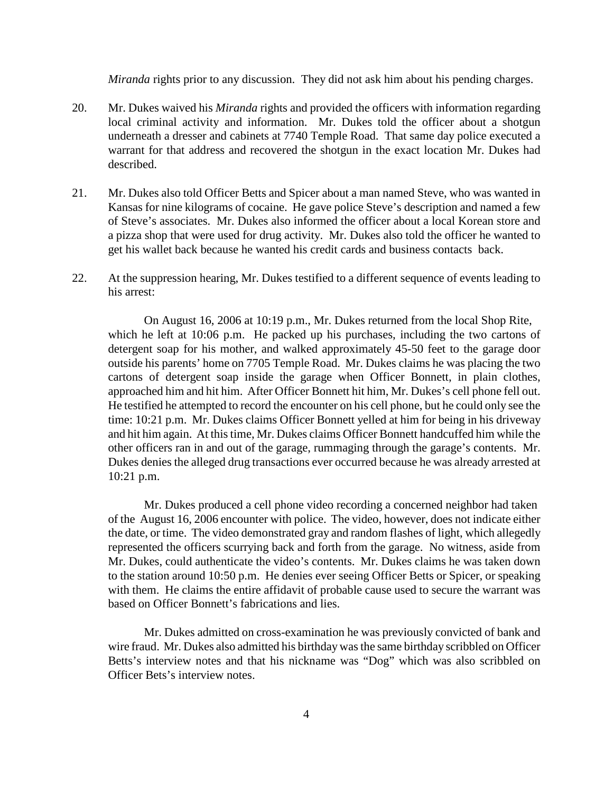*Miranda* rights prior to any discussion. They did not ask him about his pending charges.

- 20. Mr. Dukes waived his *Miranda* rights and provided the officers with information regarding local criminal activity and information. Mr. Dukes told the officer about a shotgun underneath a dresser and cabinets at 7740 Temple Road. That same day police executed a warrant for that address and recovered the shotgun in the exact location Mr. Dukes had described.
- 21. Mr. Dukes also told Officer Betts and Spicer about a man named Steve, who was wanted in Kansas for nine kilograms of cocaine. He gave police Steve's description and named a few of Steve's associates. Mr. Dukes also informed the officer about a local Korean store and a pizza shop that were used for drug activity. Mr. Dukes also told the officer he wanted to get his wallet back because he wanted his credit cards and business contacts back.
- 22. At the suppression hearing, Mr. Dukes testified to a different sequence of events leading to his arrest:

On August 16, 2006 at 10:19 p.m., Mr. Dukes returned from the local Shop Rite, which he left at 10:06 p.m. He packed up his purchases, including the two cartons of detergent soap for his mother, and walked approximately 45-50 feet to the garage door outside his parents' home on 7705 Temple Road. Mr. Dukes claims he was placing the two cartons of detergent soap inside the garage when Officer Bonnett, in plain clothes, approached him and hit him. After Officer Bonnett hit him, Mr. Dukes's cell phone fell out. He testified he attempted to record the encounter on his cell phone, but he could only see the time: 10:21 p.m. Mr. Dukes claims Officer Bonnett yelled at him for being in his driveway and hit him again. At this time, Mr. Dukes claims Officer Bonnett handcuffed him while the other officers ran in and out of the garage, rummaging through the garage's contents. Mr. Dukes denies the alleged drug transactions ever occurred because he was already arrested at 10:21 p.m.

Mr. Dukes produced a cell phone video recording a concerned neighbor had taken of the August 16, 2006 encounter with police. The video, however, does not indicate either the date, or time. The video demonstrated gray and random flashes of light, which allegedly represented the officers scurrying back and forth from the garage. No witness, aside from Mr. Dukes, could authenticate the video's contents. Mr. Dukes claims he was taken down to the station around 10:50 p.m. He denies ever seeing Officer Betts or Spicer, or speaking with them. He claims the entire affidavit of probable cause used to secure the warrant was based on Officer Bonnett's fabrications and lies.

Mr. Dukes admitted on cross-examination he was previously convicted of bank and wire fraud. Mr. Dukes also admitted his birthday wasthe same birthday scribbled on Officer Betts's interview notes and that his nickname was "Dog" which was also scribbled on Officer Bets's interview notes.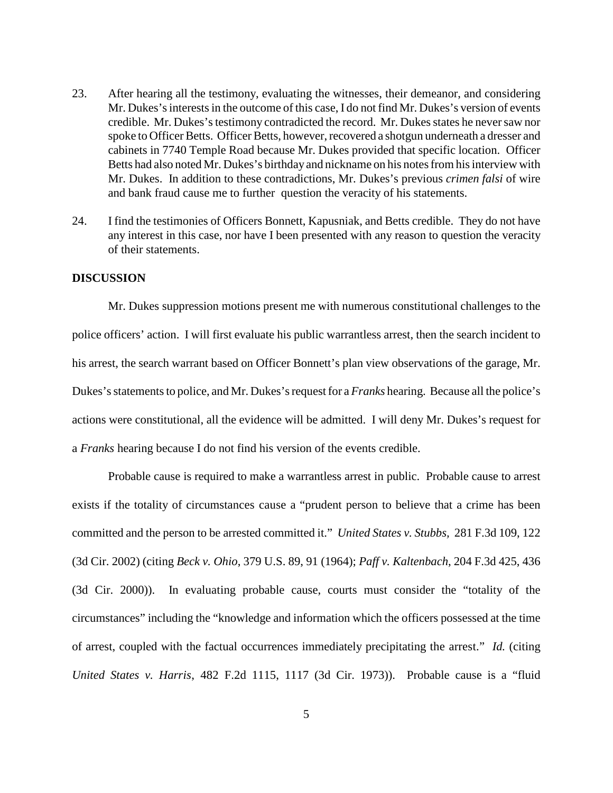- 23. After hearing all the testimony, evaluating the witnesses, their demeanor, and considering Mr. Dukes's interests in the outcome of this case, I do not find Mr. Dukes's version of events credible. Mr. Dukes's testimony contradicted the record. Mr. Dukes states he never saw nor spoke to Officer Betts. Officer Betts, however, recovered a shotgun underneath a dresser and cabinets in 7740 Temple Road because Mr. Dukes provided that specific location. Officer Betts had also noted Mr. Dukes's birthday and nickname on his notes from his interview with Mr. Dukes. In addition to these contradictions, Mr. Dukes's previous *crimen falsi* of wire and bank fraud cause me to further question the veracity of his statements.
- 24. I find the testimonies of Officers Bonnett, Kapusniak, and Betts credible. They do not have any interest in this case, nor have I been presented with any reason to question the veracity of their statements.

#### **DISCUSSION**

Mr. Dukes suppression motions present me with numerous constitutional challenges to the police officers' action. I will first evaluate his public warrantless arrest, then the search incident to his arrest, the search warrant based on Officer Bonnett's plan view observations of the garage, Mr. Dukes's statements to police, and Mr. Dukes's request for a *Franks* hearing. Because all the police's actions were constitutional, all the evidence will be admitted. I will deny Mr. Dukes's request for a *Franks* hearing because I do not find his version of the events credible.

Probable cause is required to make a warrantless arrest in public. Probable cause to arrest exists if the totality of circumstances cause a "prudent person to believe that a crime has been committed and the person to be arrested committed it." *United States v. Stubbs,* 281 F.3d 109, 122 (3d Cir. 2002) (citing *Beck v. Ohio*, 379 U.S. 89, 91 (1964); *Paff v. Kaltenbach*, 204 F.3d 425, 436 (3d Cir. 2000)). In evaluating probable cause, courts must consider the "totality of the circumstances" including the "knowledge and information which the officers possessed at the time of arrest, coupled with the factual occurrences immediately precipitating the arrest." *Id.* (citing *United States v. Harris*, 482 F.2d 1115, 1117 (3d Cir. 1973)). Probable cause is a "fluid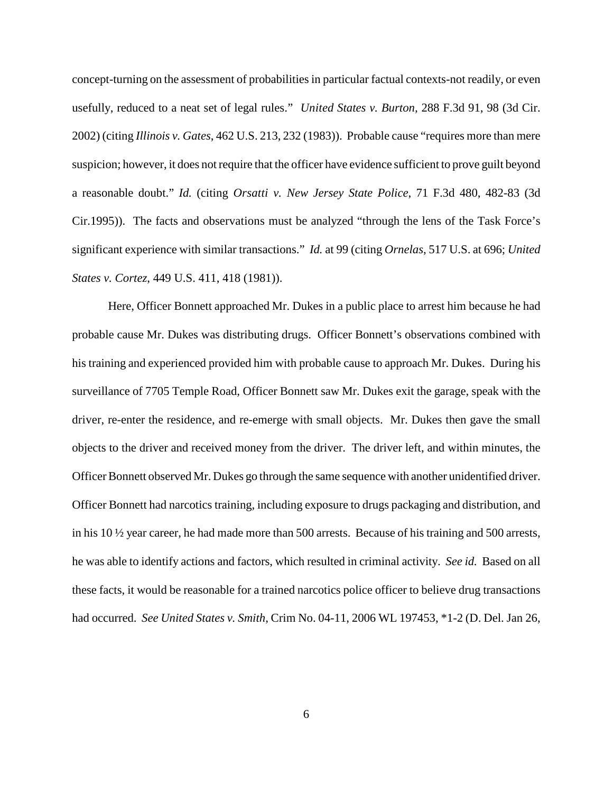concept-turning on the assessment of probabilitiesin particular factual contexts-not readily, or even usefully, reduced to a neat set of legal rules." *United States v. Burton,* 288 F.3d 91, 98 (3d Cir. 2002) (citing *Illinois v. Gates*, 462 U.S. 213, 232 (1983)). Probable cause "requires more than mere suspicion; however, it does not require that the officer have evidence sufficient to prove guilt beyond a reasonable doubt." *Id.* (citing *Orsatti v. New Jersey State Police*, 71 F.3d 480, 482-83 (3d Cir.1995)). The facts and observations must be analyzed "through the lens of the Task Force's significant experience with similar transactions." *Id.* at 99 (citing *Ornelas*, 517 U.S. at 696; *United States v. Cortez*, 449 U.S. 411, 418 (1981)).

Here, Officer Bonnett approached Mr. Dukes in a public place to arrest him because he had probable cause Mr. Dukes was distributing drugs. Officer Bonnett's observations combined with his training and experienced provided him with probable cause to approach Mr. Dukes. During his surveillance of 7705 Temple Road, Officer Bonnett saw Mr. Dukes exit the garage, speak with the driver, re-enter the residence, and re-emerge with small objects. Mr. Dukes then gave the small objects to the driver and received money from the driver. The driver left, and within minutes, the Officer Bonnett observed Mr. Dukes go through the same sequence with another unidentified driver. Officer Bonnett had narcotics training, including exposure to drugs packaging and distribution, and in his 10 ½ year career, he had made more than 500 arrests. Because of his training and 500 arrests, he was able to identify actions and factors, which resulted in criminal activity. *See id.* Based on all these facts, it would be reasonable for a trained narcotics police officer to believe drug transactions had occurred. *See United States v. Smith*, Crim No. 04-11, 2006 WL 197453, \*1-2 (D. Del. Jan 26,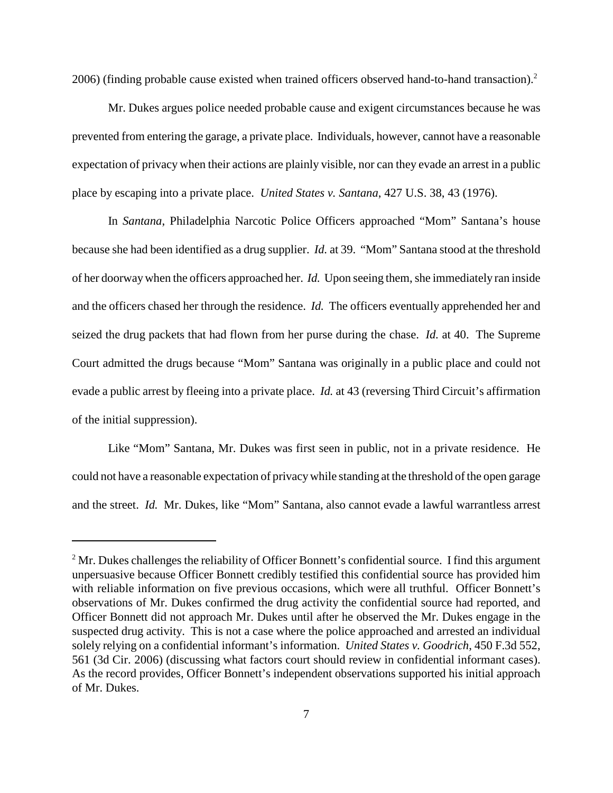2006) (finding probable cause existed when trained officers observed hand-to-hand transaction). 2

Mr. Dukes argues police needed probable cause and exigent circumstances because he was prevented from entering the garage, a private place. Individuals, however, cannot have a reasonable expectation of privacy when their actions are plainly visible, nor can they evade an arrest in a public place by escaping into a private place. *United States v. Santana*, 427 U.S. 38, 43 (1976).

In *Santana*, Philadelphia Narcotic Police Officers approached "Mom" Santana's house because she had been identified as a drug supplier. *Id.* at 39. "Mom" Santana stood at the threshold of her doorway when the officers approached her. *Id.* Upon seeing them, she immediately ran inside and the officers chased her through the residence. *Id.* The officers eventually apprehended her and seized the drug packets that had flown from her purse during the chase. *Id.* at 40. The Supreme Court admitted the drugs because "Mom" Santana was originally in a public place and could not evade a public arrest by fleeing into a private place. *Id.* at 43 (reversing Third Circuit's affirmation of the initial suppression).

Like "Mom" Santana, Mr. Dukes was first seen in public, not in a private residence. He could not have a reasonable expectation of privacy while standing at the threshold of the open garage and the street. *Id.* Mr. Dukes, like "Mom" Santana, also cannot evade a lawful warrantless arrest

 $2^2$  Mr. Dukes challenges the reliability of Officer Bonnett's confidential source. I find this argument unpersuasive because Officer Bonnett credibly testified this confidential source has provided him with reliable information on five previous occasions, which were all truthful. Officer Bonnett's observations of Mr. Dukes confirmed the drug activity the confidential source had reported, and Officer Bonnett did not approach Mr. Dukes until after he observed the Mr. Dukes engage in the suspected drug activity. This is not a case where the police approached and arrested an individual solely relying on a confidential informant's information. *United States v. Goodrich*, 450 F.3d 552, 561 (3d Cir. 2006) (discussing what factors court should review in confidential informant cases). As the record provides, Officer Bonnett's independent observations supported his initial approach of Mr. Dukes.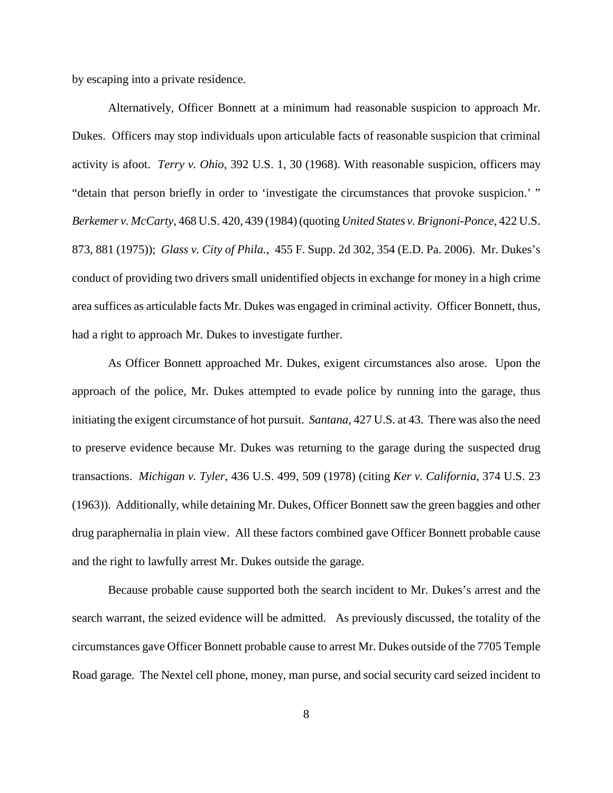by escaping into a private residence.

Alternatively, Officer Bonnett at a minimum had reasonable suspicion to approach Mr. Dukes. Officers may stop individuals upon articulable facts of reasonable suspicion that criminal activity is afoot. *Terry v. Ohio*, 392 U.S. 1, 30 (1968). With reasonable suspicion, officers may "detain that person briefly in order to 'investigate the circumstances that provoke suspicion.' " *Berkemer v. McCarty*, 468 U.S. 420, 439 (1984) (quoting *United States v. Brignoni-Ponce*, 422 U.S. 873, 881 (1975)); *Glass v. City of Phila.*, 455 F. Supp. 2d 302, 354 (E.D. Pa. 2006). Mr. Dukes's conduct of providing two drivers small unidentified objects in exchange for money in a high crime area suffices as articulable facts Mr. Dukes was engaged in criminal activity. Officer Bonnett, thus, had a right to approach Mr. Dukes to investigate further.

As Officer Bonnett approached Mr. Dukes, exigent circumstances also arose. Upon the approach of the police, Mr. Dukes attempted to evade police by running into the garage, thus initiating the exigent circumstance of hot pursuit. *Santana*, 427 U.S. at 43. There was also the need to preserve evidence because Mr. Dukes was returning to the garage during the suspected drug transactions. *Michigan v. Tyler*, 436 U.S. 499, 509 (1978) (citing *Ker v. California*, 374 U.S. 23 (1963)). Additionally, while detaining Mr. Dukes, Officer Bonnett saw the green baggies and other drug paraphernalia in plain view. All these factors combined gave Officer Bonnett probable cause and the right to lawfully arrest Mr. Dukes outside the garage.

Because probable cause supported both the search incident to Mr. Dukes's arrest and the search warrant, the seized evidence will be admitted. As previously discussed, the totality of the circumstances gave Officer Bonnett probable cause to arrest Mr. Dukes outside of the 7705 Temple Road garage. The Nextel cell phone, money, man purse, and social security card seized incident to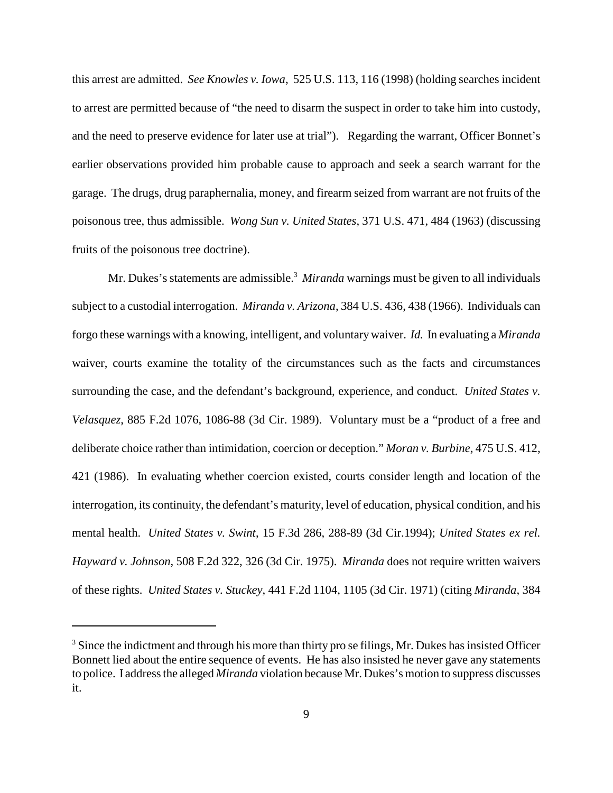this arrest are admitted. *See Knowles v. Iowa*, 525 U.S. 113, 116 (1998) (holding searches incident to arrest are permitted because of "the need to disarm the suspect in order to take him into custody, and the need to preserve evidence for later use at trial"). Regarding the warrant, Officer Bonnet's earlier observations provided him probable cause to approach and seek a search warrant for the garage. The drugs, drug paraphernalia, money, and firearm seized from warrant are not fruits of the poisonous tree, thus admissible. *Wong Sun v. United States*, 371 U.S. 471, 484 (1963) (discussing fruits of the poisonous tree doctrine).

Mr. Dukes's statements are admissible.<sup>3</sup> *Miranda* warnings must be given to all individuals subject to a custodial interrogation. *Miranda v. Arizona*, 384 U.S. 436, 438 (1966). Individuals can forgo these warnings with a knowing, intelligent, and voluntarywaiver. *Id.* In evaluating a *Miranda* waiver, courts examine the totality of the circumstances such as the facts and circumstances surrounding the case, and the defendant's background, experience, and conduct. *United States v. Velasquez*, 885 F.2d 1076, 1086-88 (3d Cir. 1989). Voluntary must be a "product of a free and deliberate choice rather than intimidation, coercion or deception." *Moran v. Burbine*, 475 U.S. 412, 421 (1986). In evaluating whether coercion existed, courts consider length and location of the interrogation, its continuity, the defendant's maturity, level of education, physical condition, and his mental health. *United States v. Swint*, 15 F.3d 286, 288-89 (3d Cir.1994); *United States ex rel. Hayward v. Johnson*, 508 F.2d 322, 326 (3d Cir. 1975). *Miranda* does not require written waivers of these rights. *United States v. Stuckey*, 441 F.2d 1104, 1105 (3d Cir. 1971) (citing *Miranda*, 384

 $3$  Since the indictment and through his more than thirty pro se filings, Mr. Dukes has insisted Officer Bonnett lied about the entire sequence of events. He has also insisted he never gave any statements to police. I addressthe alleged *Miranda* violation because Mr. Dukes's motion to suppress discusses it.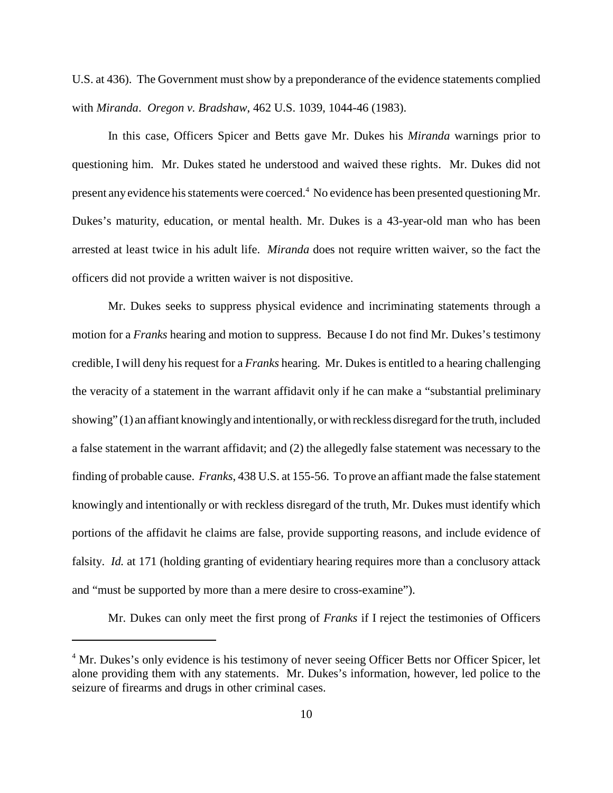U.S. at 436). The Government must show by a preponderance of the evidence statements complied with *Miranda*. *Oregon v. Bradshaw*, 462 U.S. 1039, 1044-46 (1983).

In this case, Officers Spicer and Betts gave Mr. Dukes his *Miranda* warnings prior to questioning him. Mr. Dukes stated he understood and waived these rights. Mr. Dukes did not present any evidence his statements were coerced.<sup>4</sup> No evidence has been presented questioning Mr. Dukes's maturity, education, or mental health. Mr. Dukes is a 43-year-old man who has been arrested at least twice in his adult life. *Miranda* does not require written waiver, so the fact the officers did not provide a written waiver is not dispositive.

Mr. Dukes seeks to suppress physical evidence and incriminating statements through a motion for a *Franks* hearing and motion to suppress. Because I do not find Mr. Dukes's testimony credible, I will deny hisrequest for a *Franks* hearing. Mr. Dukes is entitled to a hearing challenging the veracity of a statement in the warrant affidavit only if he can make a "substantial preliminary showing" (1) an affiant knowingly and intentionally, or with reckless disregard for the truth, included a false statement in the warrant affidavit; and (2) the allegedly false statement was necessary to the finding of probable cause. *Franks*, 438 U.S. at 155-56. To prove an affiant made the false statement knowingly and intentionally or with reckless disregard of the truth, Mr. Dukes must identify which portions of the affidavit he claims are false, provide supporting reasons, and include evidence of falsity. *Id.* at 171 (holding granting of evidentiary hearing requires more than a conclusory attack and "must be supported by more than a mere desire to cross-examine").

Mr. Dukes can only meet the first prong of *Franks* if I reject the testimonies of Officers

<sup>&</sup>lt;sup>4</sup> Mr. Dukes's only evidence is his testimony of never seeing Officer Betts nor Officer Spicer, let alone providing them with any statements. Mr. Dukes's information, however, led police to the seizure of firearms and drugs in other criminal cases.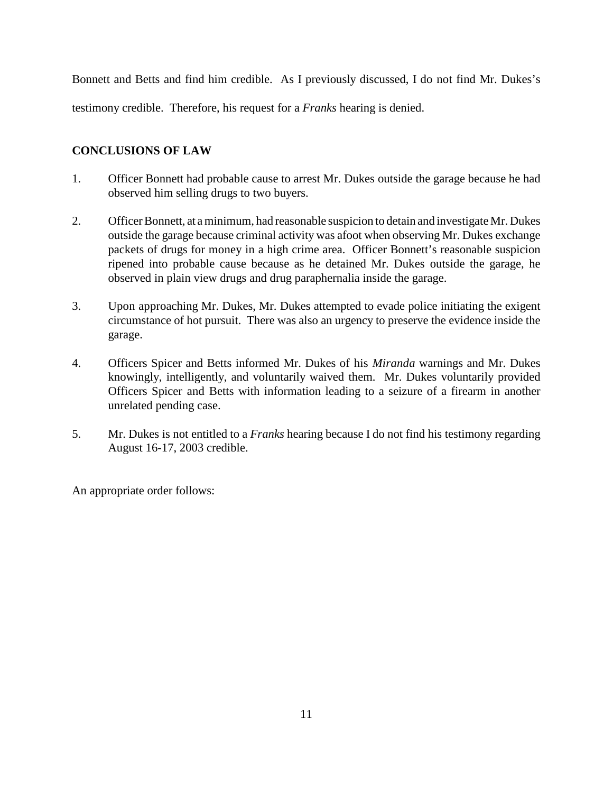Bonnett and Betts and find him credible. As I previously discussed, I do not find Mr. Dukes's testimony credible. Therefore, his request for a *Franks* hearing is denied.

# **CONCLUSIONS OF LAW**

- 1. Officer Bonnett had probable cause to arrest Mr. Dukes outside the garage because he had observed him selling drugs to two buyers.
- 2. Officer Bonnett, at a minimum, had reasonable suspicion to detain and investigate Mr. Dukes outside the garage because criminal activity was afoot when observing Mr. Dukes exchange packets of drugs for money in a high crime area. Officer Bonnett's reasonable suspicion ripened into probable cause because as he detained Mr. Dukes outside the garage, he observed in plain view drugs and drug paraphernalia inside the garage.
- 3. Upon approaching Mr. Dukes, Mr. Dukes attempted to evade police initiating the exigent circumstance of hot pursuit. There was also an urgency to preserve the evidence inside the garage.
- 4. Officers Spicer and Betts informed Mr. Dukes of his *Miranda* warnings and Mr. Dukes knowingly, intelligently, and voluntarily waived them. Mr. Dukes voluntarily provided Officers Spicer and Betts with information leading to a seizure of a firearm in another unrelated pending case.
- 5. Mr. Dukes is not entitled to a *Franks* hearing because I do not find his testimony regarding August 16-17, 2003 credible.

An appropriate order follows: